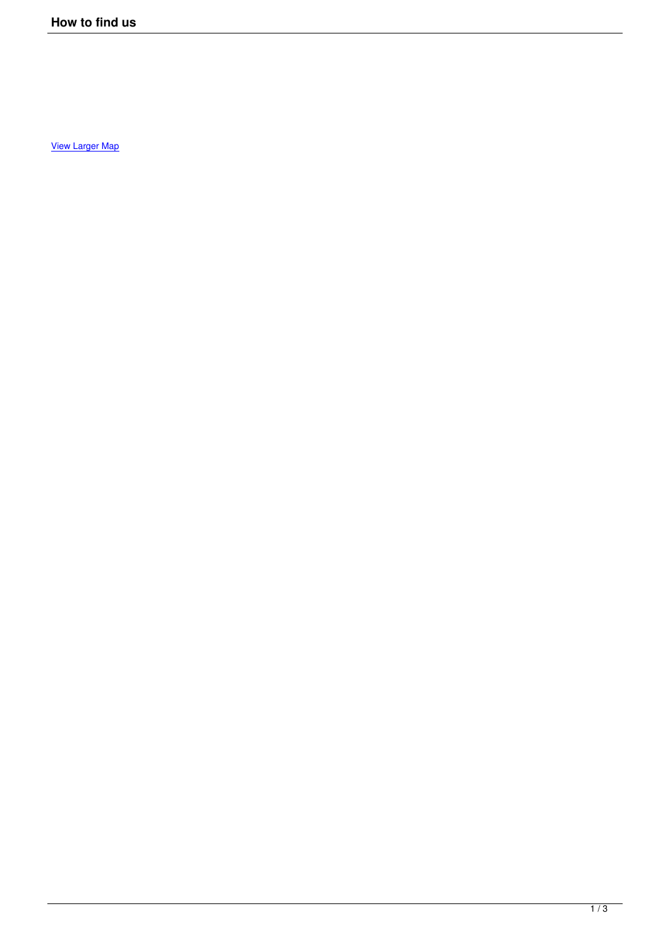View Larger Map

Ξ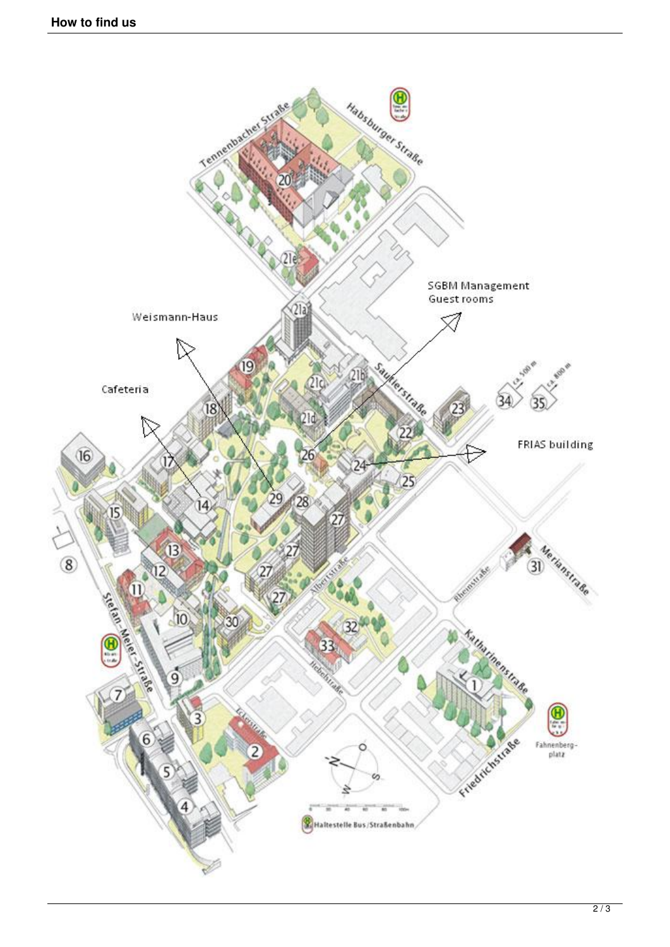